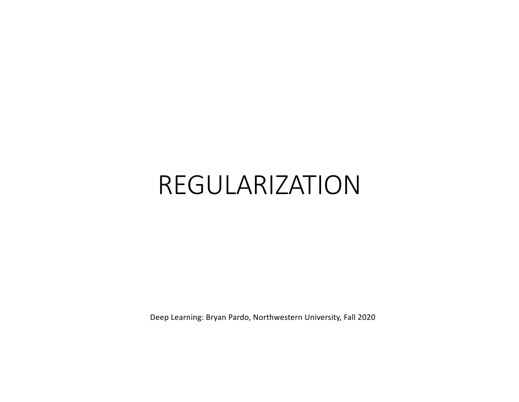# REGULARIZATION

Deep Learning: Bryan Pardo, Northwestern University, Fall 2020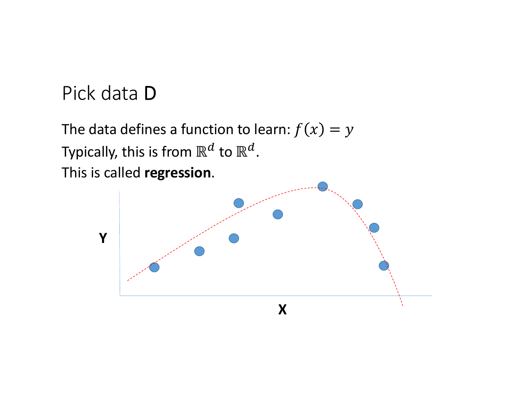#### Pick data D

The data defines a function to learn:  $f(x) = y$ Typically, this is from  $\mathbb{R}^d$  to  $\mathbb{R}^d$ . This is called **regression**.

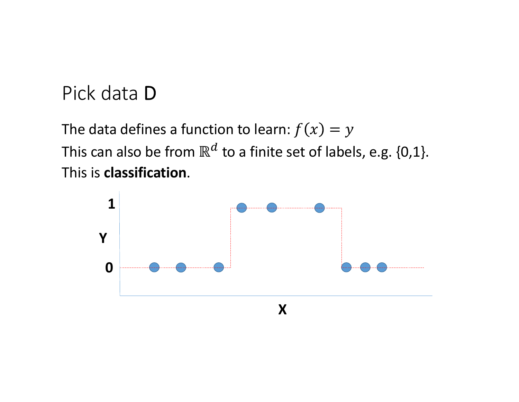#### Pick data D

The data defines a function to learn:  $f(x) = y$ This can also be from  $\mathbb{R}^d$  to a finite set of labels, e.g. {0,1}. This is **classification**.

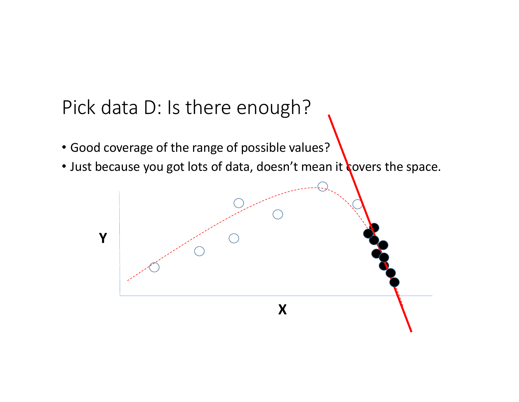# Pick data D: Is there enough?

- Good coverage of the range of possible values?
- Just because you got lots of data, doesn't mean it covers the space.

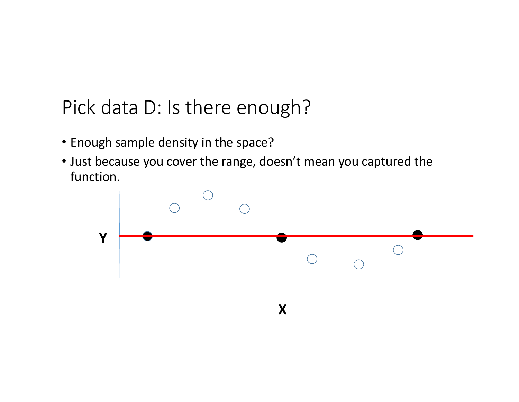# Pick data D: Is there enough?

- Enough sample density in the space?
- Just because you cover the range, doesn't mean you captured the function.

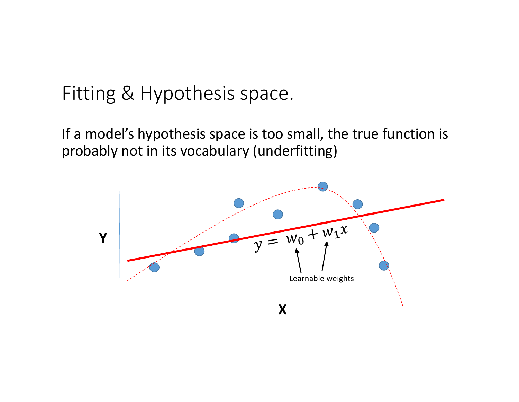#### Fitting & Hypothesis space.

If a model's hypothesis space is too small, the true function is probably not in its vocabulary (underfitting)

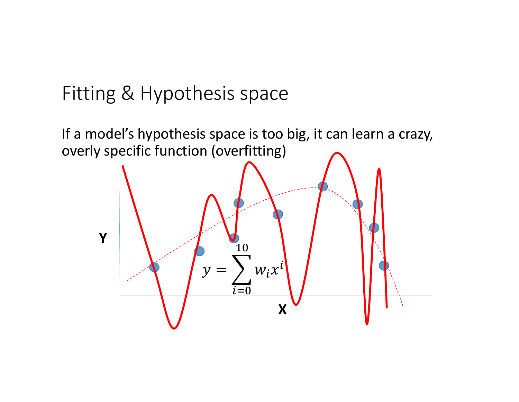#### Fitting & Hypothesis space

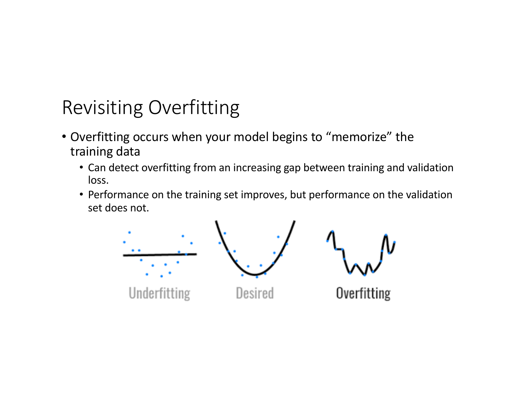# Revisiting Overfitting

- Overfitting occurs when your model begins to "memorize" the training data
	- Can detect overfitting from an increasing gap between training and validation loss.
	- Performance on the training set improves, but performance on the validation set does not.

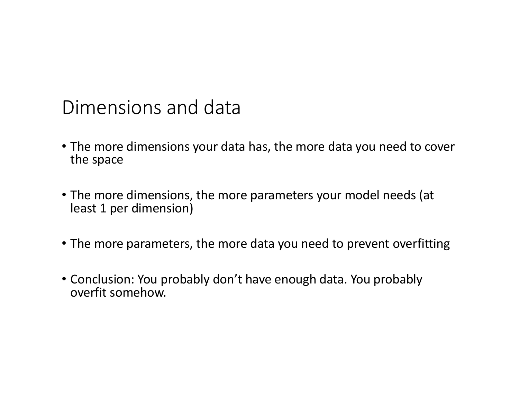#### Dimensions and data

- The more dimensions your data has, the more data you need to cover the space
- The more dimensions, the more parameters your model needs (at least 1 per dimension)
- The more parameters, the more data you need to prevent overfitting
- Conclusion: You probably don't have enough data. You probably overfit somehow.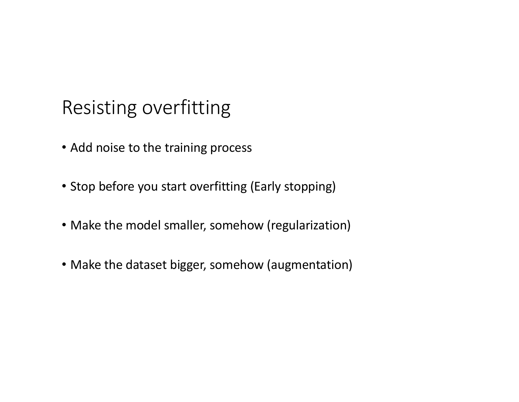### Resisting overfitting

- Add noise to the training process
- Stop before you start overfitting (Early stopping)
- Make the model smaller, somehow (regularization)
- Make the dataset bigger, somehow (augmentation)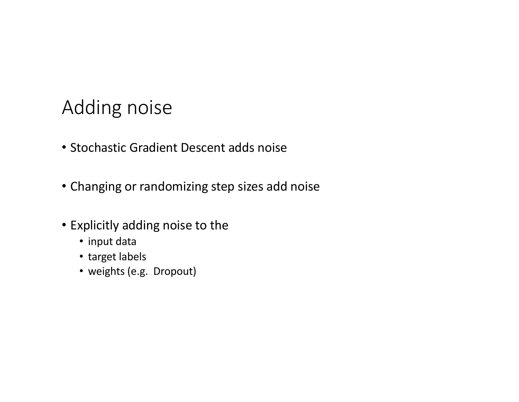### Adding noise

- Stochastic Gradient Descent adds noise
- Changing or randomizing step sizes add noise
- Explicitly adding noise to the
	- input data
	- target labels
	- weights (e.g. Dropout)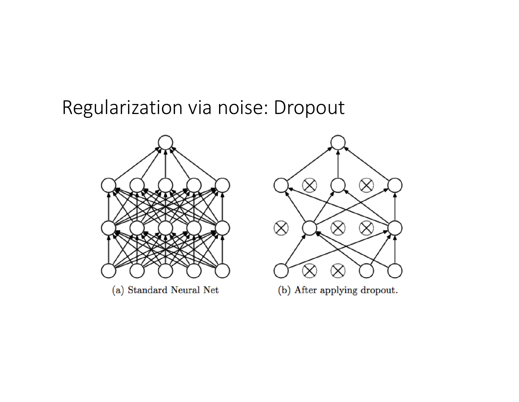#### Regularization via noise: Dropout



 $\otimes$  $\propto$  $\otimes$  $\propto$ 

(b) After applying dropout.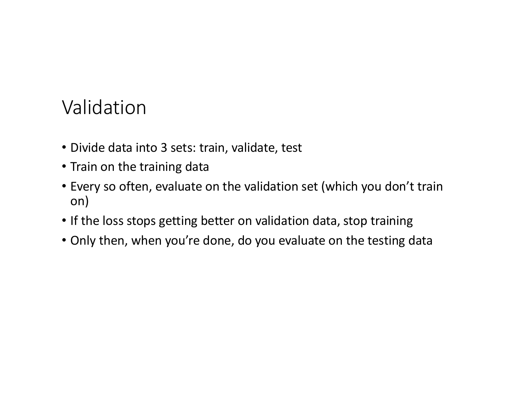# Validation

- Divide data into 3 sets: train, validate, test
- Train on the training data
- Every so often, evaluate on the validation set (which you don't train on)
- If the loss stops getting better on validation data, stop training
- Only then, when you're done, do you evaluate on the testing data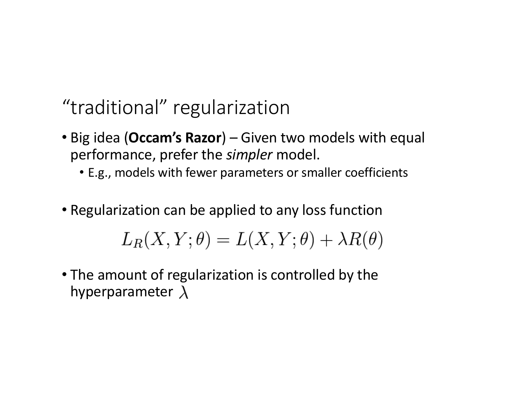#### "traditional" regularization

- Big idea (**Occam's Razor**) Given two models with equal performance, prefer the *simpler* model.
	- E.g., models with fewer parameters or smaller coefficients
- Regularization can be applied to any loss function

$$
L_R(X, Y; \theta) = L(X, Y; \theta) + \lambda R(\theta)
$$

• The amount of regularization is controlled by the hyperparameter  $\lambda$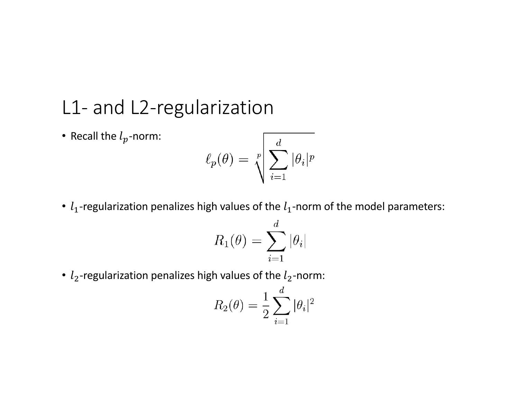#### L1- and L2-regularization

• Recall the  $l_p$ -norm:

$$
\ell_p(\theta) = \sqrt[p]{\sum_{i=1}^d |\theta_i|^p}
$$

•  $l_1$ -regularization penalizes high values of the  $l_1$ -norm of the model parameters:

$$
R_1(\theta) = \sum_{i=1}^d |\theta_i|
$$

•  $l_2$ -regularization penalizes high values of the  $l_2$ -norm:

$$
R_2(\theta) = \frac{1}{2} \sum_{i=1}^d |\theta_i|^2
$$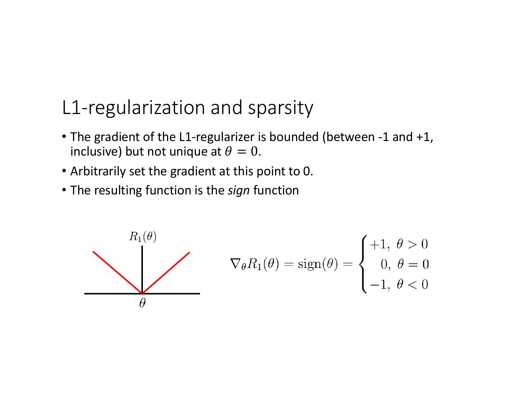#### L1-regularization and sparsity

- The gradient of the L1-regularizer is bounded (between -1 and +1, inclusive) but not unique at  $\theta = 0$ .
- Arbitrarily set the gradient at this point to 0.
- The resulting function is the *sign* function

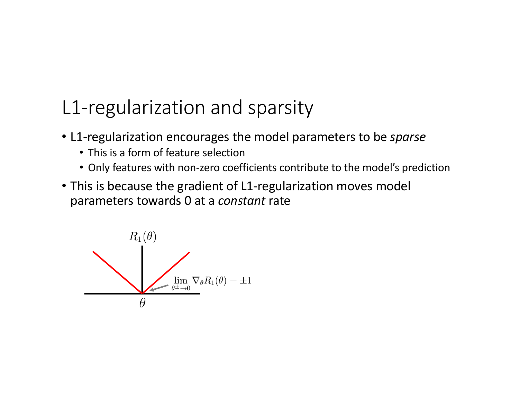#### L1-regularization and sparsity

- L1-regularization encourages the model parameters to be *sparse*
	- This is a form of feature selection
	- Only features with non-zero coefficients contribute to the model's prediction
- This is because the gradient of L1-regularization moves model parameters towards 0 at a *constant* rate

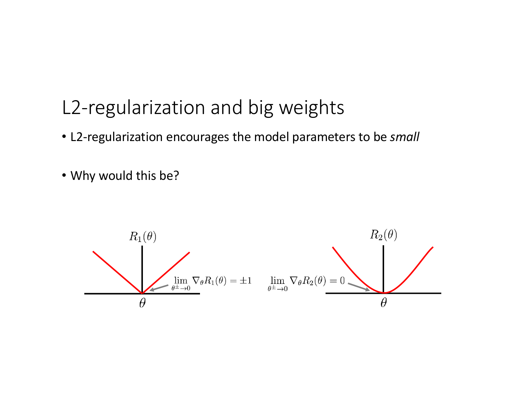### L2-regularization and big weights

- L2-regularization encourages the model parameters to be *small*
- Why would this be?

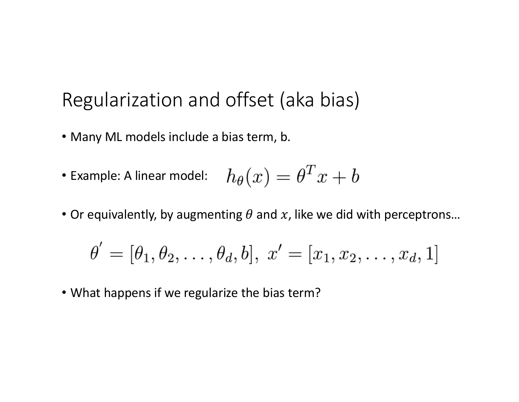#### Regularization and offset (aka bias)

- Many ML models include a bias term, b.
- Example: A linear model:  $h_\theta(x) = \theta^T x + b$
- Or equivalently, by augmenting  $\theta$  and  $x$ , like we did with perceptrons...

$$
\theta' = [\theta_1, \theta_2, \dots, \theta_d, b], x' = [x_1, x_2, \dots, x_d, 1]
$$

• What happens if we regularize the bias term?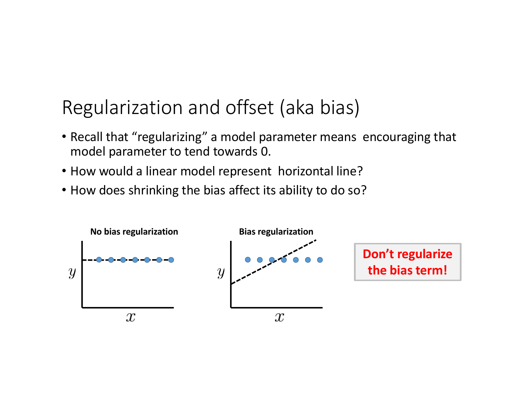#### Regularization and offset (aka bias)

- Recall that "regularizing" a model parameter means encouraging that model parameter to tend towards 0.
- How would a linear model represent horizontal line?
- How does shrinking the bias affect its ability to do so?

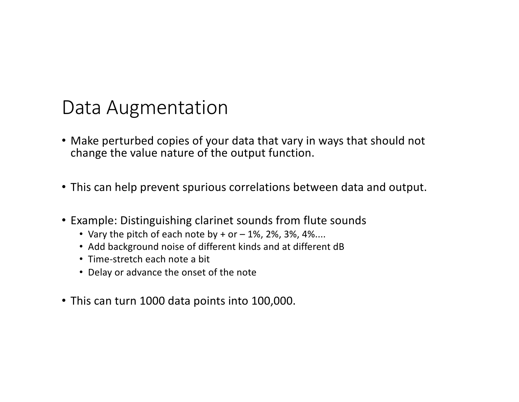#### Data Augmentation

- Make perturbed copies of your data that vary in ways that should not change the value nature of the output function.
- This can help prevent spurious correlations between data and output.
- Example: Distinguishing clarinet sounds from flute sounds
	- Vary the pitch of each note by  $+$  or  $-$  1%, 2%, 3%, 4%....
	- Add background noise of different kinds and at different dB
	- Time-stretch each note a bit
	- Delay or advance the onset of the note
- This can turn 1000 data points into 100,000.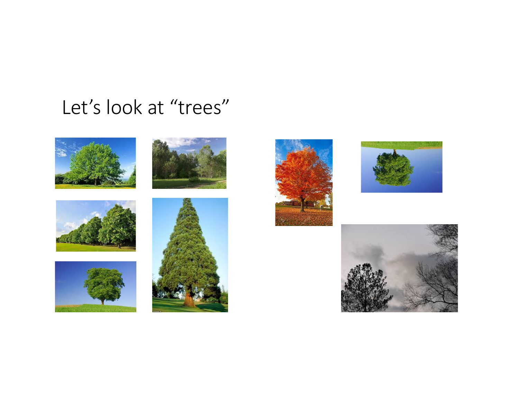# Let's look at "trees"















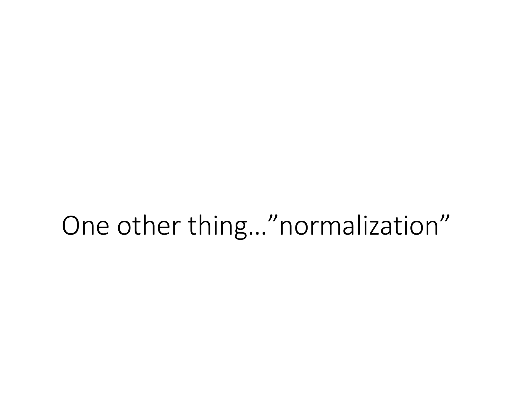# One other thing…"normalization"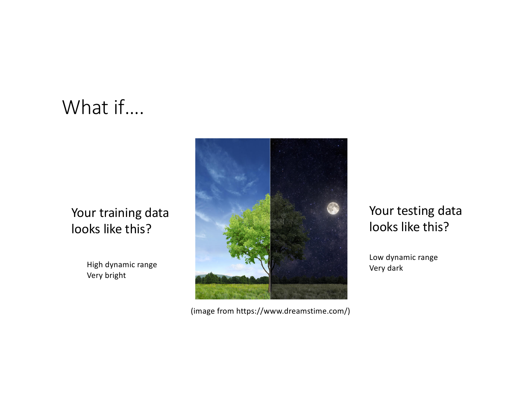# What if….

#### Your training data looks like this?

High dynamic range Very bright



(image from https://www.dreamstime.com/)

#### Your testing data looks like this?

Low dynamic range Very dark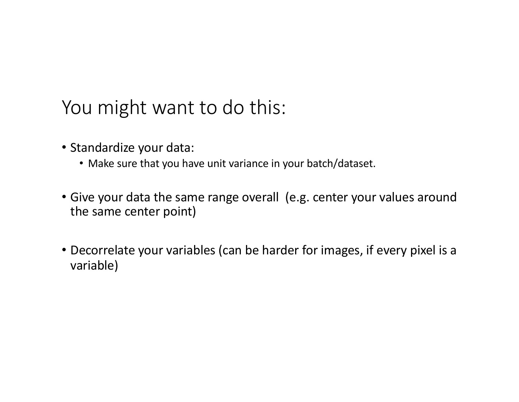# You might want to do this:

- Standardize your data:
	- Make sure that you have unit variance in your batch/dataset.
- Give your data the same range overall (e.g. center your values around the same center point)
- Decorrelate your variables (can be harder for images, if every pixel is a variable)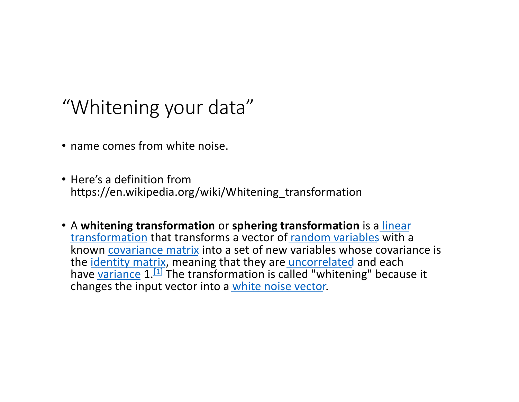### "Whitening your data"

- name comes from white noise.
- Here's a definition from https://en.wikipedia.org/wiki/Whitening\_transformation
- A **whitening transformation** or **sphering transformation** is a linear transformation [that transforms a vector of](https://en.wikipedia.org/wiki/Linear_transformation) [random vari](https://en.wikipedia.org/wiki/Random_variables)ables with a known [covariance m](https://en.wikipedia.org/wiki/Covariance_matrix)atrix into a set of new variables whose covariance is the [identity m](https://en.wikipedia.org/wiki/Identity_matrix)atrix, meaning that they are [uncorre](https://en.wikipedia.org/wiki/Uncorrelated)lated and each [have](https://en.wikipedia.org/wiki/Variance) varia[nce](https://en.wikipedia.org/wiki/Whitening_transformation)  $1.11$  The transformation is called "whitening" because it changes the input vector into a [white noise ve](https://en.wikipedia.org/wiki/White_noise)ctor.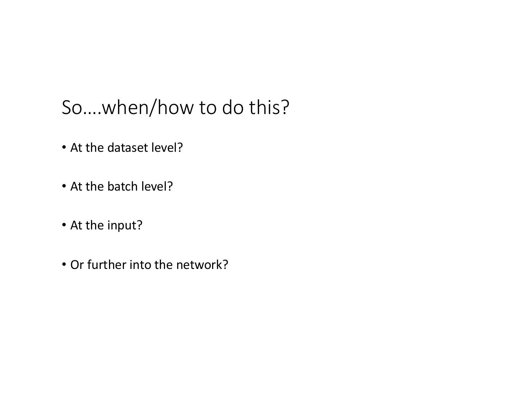# So….when/how to do this?

- At the dataset level?
- At the batch level?
- At the input?
- Or further into the network?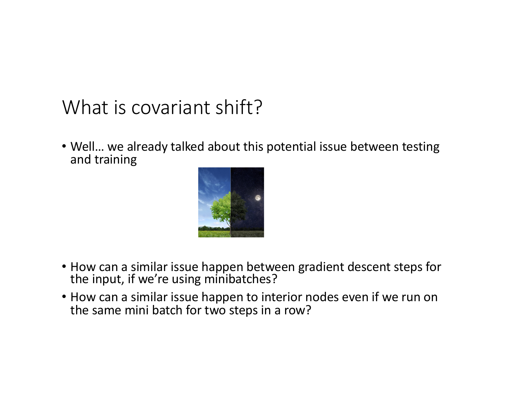# What is covariant shift?

• Well… we already talked about this potential issue between testing and training



- How can a similar issue happen between gradient descent steps for the input, if we're using minibatches?
- How can a similar issue happen to interior nodes even if we run on the same mini batch for two steps in a row?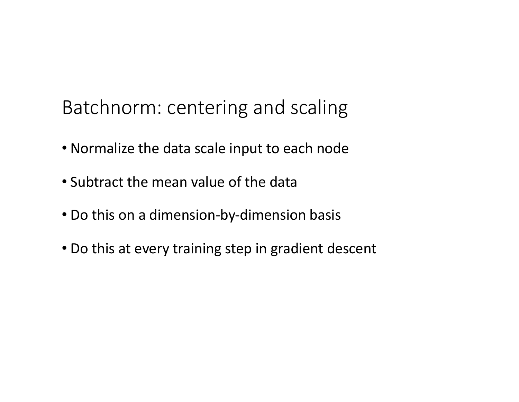Batchnorm: centering and scaling

- Normalize the data scale input to each node
- Subtract the mean value of the data
- Do this on a dimension-by-dimension basis
- Do this at every training step in gradient descent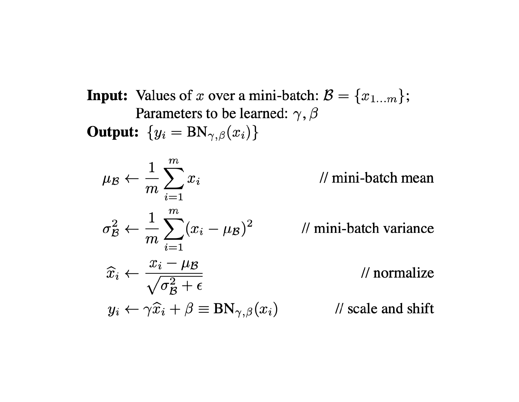**Input:** Values of x over a mini-batch:  $\mathcal{B} = \{x_{1...m}\};$ Parameters to be learned:  $\gamma$ ,  $\beta$ **Output:**  $\{y_i = BN_{\gamma,\beta}(x_i)\}\$ 

$$
\mu_{\mathcal{B}} \leftarrow \frac{1}{m} \sum_{i=1}^{m} x_i
$$

$$
\sigma_{\mathcal{B}}^2 \leftarrow \frac{1}{m} \sum_{i=1}^{m} (x_i - \mu_{\mathcal{B}})^2
$$

$$
\widehat{x}_i \leftarrow \frac{x_i - \mu_{\mathcal{B}}}{\sqrt{m}}
$$

// mini-batch mean

// mini-batch variance

$$
\widehat{x}_i \leftarrow \frac{x_i - \mu \mathcal{B}}{\sqrt{\sigma_{\mathcal{B}}^2 + \epsilon}}
$$
\n
$$
y_i \leftarrow \gamma \widehat{x}_i + \beta \equiv \text{BN}_{\gamma, \beta}(x_i)
$$
\n
$$
\text{W scale and shift}
$$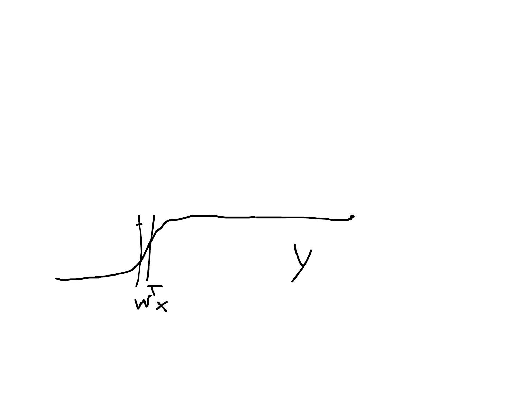